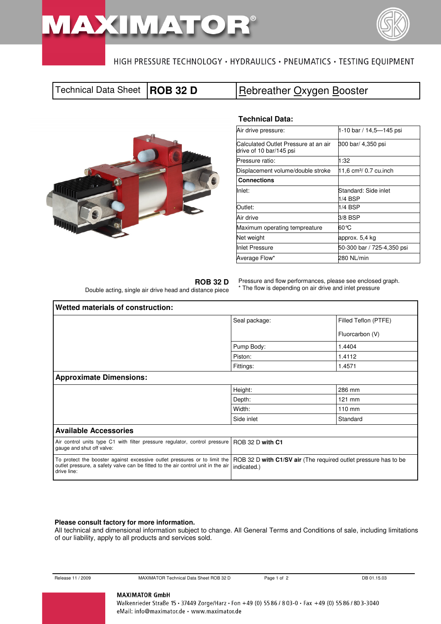# **MAXIMA**T



# HIGH PRESSURE TECHNOLOGY · HYDRAULICS · PNEUMATICS · TESTING EQUIPMENT

# Technical Data Sheet **ROB 32 D Rebreather Oxygen Booster**



### **Technical Data:**

| Air drive pressure:                                             | 1-10 bar / 14,5-145 psi            |
|-----------------------------------------------------------------|------------------------------------|
| Calculated Outlet Pressure at an air<br>drive of 10 bar/145 psi | 300 bar/ 4,350 psi                 |
| Pressure ratio:                                                 | 1:32                               |
| Displacement volume/double stroke                               | 11,6 cm <sup>3</sup> / 0.7 cu.inch |
| <b>Connections</b>                                              |                                    |
| lnlet:                                                          | Standard: Side inlet<br>1/4 BSP    |
| Outlet:                                                         | $1/4$ BSP                          |
| Air drive                                                       | 3/8 BSP                            |
| Maximum operating tempreature                                   | 60 °C                              |
| Net weight                                                      | approx. 5,4 kg                     |
| Inlet Pressure                                                  | 50-300 bar / 725-4,350 psi         |
| Average Flow*                                                   | 280 NL/min                         |

**ROB 32 D** 

Double acting, single air drive head and distance piece

Pressure and flow performances, please see enclosed graph. \* The flow is depending on air drive and inlet pressure

| Wetted materials of construction:                                                                                                                                            |                                                                                |                      |  |  |  |  |
|------------------------------------------------------------------------------------------------------------------------------------------------------------------------------|--------------------------------------------------------------------------------|----------------------|--|--|--|--|
|                                                                                                                                                                              | Seal package:                                                                  | Filled Teflon (PTFE) |  |  |  |  |
|                                                                                                                                                                              |                                                                                | Fluorcarbon (V)      |  |  |  |  |
|                                                                                                                                                                              | Pump Body:                                                                     | 1.4404<br>1.4112     |  |  |  |  |
|                                                                                                                                                                              | Piston:                                                                        |                      |  |  |  |  |
|                                                                                                                                                                              | Fittings:                                                                      | 1.4571               |  |  |  |  |
| <b>Approximate Dimensions:</b>                                                                                                                                               |                                                                                |                      |  |  |  |  |
|                                                                                                                                                                              | Height:                                                                        | 286 mm               |  |  |  |  |
|                                                                                                                                                                              | Depth:                                                                         | 121 mm               |  |  |  |  |
|                                                                                                                                                                              | Width:                                                                         | $110 \text{ mm}$     |  |  |  |  |
|                                                                                                                                                                              | Side inlet                                                                     | Standard             |  |  |  |  |
| <b>Available Accessories</b>                                                                                                                                                 |                                                                                |                      |  |  |  |  |
| Air control units type C1 with filter pressure regulator, control pressure<br>gauge and shut off valve:                                                                      | ROB 32 D with C1                                                               |                      |  |  |  |  |
| To protect the booster against excessive outlet pressures or to limit the<br>outlet pressure, a safety valve can be fitted to the air control unit in the air<br>drive line: | ROB 32 D with C1/SV air (The required outlet pressure has to be<br>indicated.) |                      |  |  |  |  |

#### **Please consult factory for more information.**

All technical and dimensional information subject to change. All General Terms and Conditions of sale, including limitations of our liability, apply to all products and services sold.

| Release 11 / 2009 |  |
|-------------------|--|
|                   |  |

Release 11 15.03 MAXIMATOR Technical Data Sheet ROB 32 D Page 1 of 2 DB 01.15.03

#### **MAXIMATOR GmbH**

Walkenrieder Straße 15 · 37449 Zorge/Harz · Fon +49 (0) 55 86 / 803-0 · Fax +49 (0) 55 86 / 80 3-3040 eMail: info@maximator.de · www.maximator.de